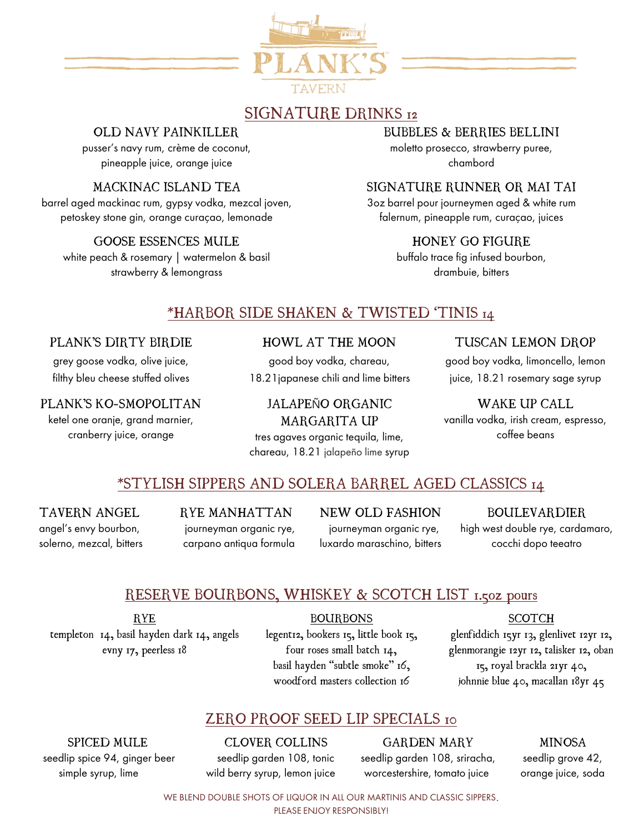

# SIGNATURE DRINKS 12

### OLD NAVY PAINKILLER

pusser's navy rum, crème de coconut, pineapple juice, orange juice

### MACKINAC ISLAND TEA

barrel aged mackinac rum, gypsy vodka, mezcal joven, petoskey stone gin, orange curaçao, lemonade

GOOSE ESSENCES MULE white peach & rosemary | watermelon & basil

strawberry & lemongrass

### BUBBLES & BERRIES BELLINI

moletto prosecco, strawberry puree, chambord

### SIGNATURE RUNNER OR MAI TAI

3oz barrel pour journeymen aged & white rum falernum, pineapple rum, curaçao, juices

### HONEY GO FIGURE

buffalo trace fig infused bourbon, drambuie, bitters

### \*HARBOR SIDE SHAKEN & TWISTED 'TINIS 14

#### PLANK'S DIRTY BIRDIE

grey goose vodka, olive juice, filthy bleu cheese stuffed olives

#### PLANK'S KO-SMOPOLITAN

ketel one oranje, grand marnier, cranberry juice, orange

### HOWL AT THE MOON

good boy vodka, chareau, 18.21japanese chili and lime bitters

JALAPEÑO ORGANIC MARGARITA UP tres agaves organic tequila, lime, chareau, 18.21 jalapeño lime syrup

### TUSCAN LEMON DROP

good boy vodka, limoncello, lemon juice, 18.21 rosemary sage syrup

### WAKE UP CALL

vanilla vodka, irish cream, espresso, coffee beans

### \*STYLISH SIPPERS AND SOLERA BARREL AGED CLASSICS 14

TAVERN ANGEL angel's envy bourbon, solerno, mezcal, bitters RYE MANHATTAN journeyman organic rye, carpano antiqua formula NEW OLD FASHION journeyman organic rye, luxardo maraschino, bitters

BOULEVARDIER high west double rye, cardamaro, cocchi dopo teeatro

# RESERVE BOURBONS, WHISKEY & SCOTCH LIST 1.50z pours

RYE templeton 14, basil hayden dark 14, angels evny 17, peerless 18

BOURBONS legent12, bookers 15, little book 15, four roses small batch 14, basil hayden "subtle smoke" 16, woodford masters collection 16

### **SCOTCH**

glenfiddich 15yr 13, glenlivet 12yr 12, glenmorangie 12yr 12, talisker 12, oban 15, royal brackla 21yr 40, johnnie blue 40, macallan 18yr 45

### ZERO PROOF SEED LIP SPECIALS 10

SPICED MULE

 seedlip spice 94, ginger beer simple syrup, lime

CLOVER COLLINS seedlip garden 108, tonic wild berry syrup, lemon juice

GARDEN MARY seedlip garden 108, sriracha, worcestershire, tomato juice

MINOSA

seedlip grove 42, orange juice, soda

WE BLEND DOUBLE SHOTS OF LIQUOR IN ALL OUR MARTINIS AND CLASSIC SIPPERS.

#### PLEASE ENJOY RESPONSIBLY!